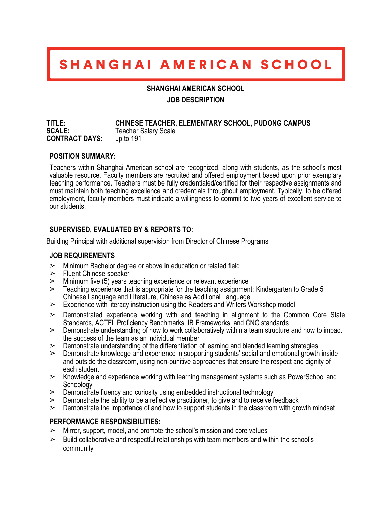# SHANGHAI AMERICAN SCHOOL

#### **SHANGHAI AMERICAN SCHOOL**

## **JOB DESCRIPTION**

**TITLE: CHINESE TEACHER, ELEMENTARY SCHOOL, PUDONG CAMPUS Teacher Salary Scale CONTRACT DAYS:** up to 191

#### **POSITION SUMMARY:**

Teachers within Shanghai American school are recognized, along with students, as the school's most valuable resource. Faculty members are recruited and offered employment based upon prior exemplary teaching performance. Teachers must be fully credentialed/certified for their respective assignments and must maintain both teaching excellence and credentials throughout employment. Typically, to be offered employment, faculty members must indicate a willingness to commit to two years of excellent service to our students.

# **SUPERVISED, EVALUATED BY & REPORTS TO:**

Building Principal with additional supervision from Director of Chinese Programs

## **JOB REQUIREMENTS**

- $\geq$  Minimum Bachelor degree or above in education or related field
- $\triangleright$  Fluent Chinese speaker
- $\geq$  Minimum five (5) years teaching experience or relevant experience
- $\geq$  Teaching experience that is appropriate for the teaching assignment; Kindergarten to Grade 5 Chinese Language and Literature, Chinese as Additional Language
- $\geq$  Experience with literacy instruction using the Readers and Writers Workshop model
- $\geq$  Demonstrated experience working with and teaching in alignment to the Common Core State Standards, ACTFL Proficiency Benchmarks, IB Frameworks, and CNC standards
- $\geq$  Demonstrate understanding of how to work collaboratively within a team structure and how to impact the success of the team as an individual member
- $\geq$  Demonstrate understanding of the differentiation of learning and blended learning strategies
- $\geq$  Demonstrate knowledge and experience in supporting students' social and emotional growth inside and outside the classroom, using non-punitive approaches that ensure the respect and dignity of each student
- $\geq$  Knowledge and experience working with learning management systems such as PowerSchool and Schoology
- $\geq$  Demonstrate fluency and curiosity using embedded instructional technology
- $\geq$  Demonstrate the ability to be a reflective practitioner, to give and to receive feedback
- $\geq$  Demonstrate the importance of and how to support students in the classroom with growth mindset

## **PERFORMANCE RESPONSIBILITIES:**

- $\geq$  Mirror, support, model, and promote the school's mission and core values
- $\geq$  Build collaborative and respectful relationships with team members and within the school's community